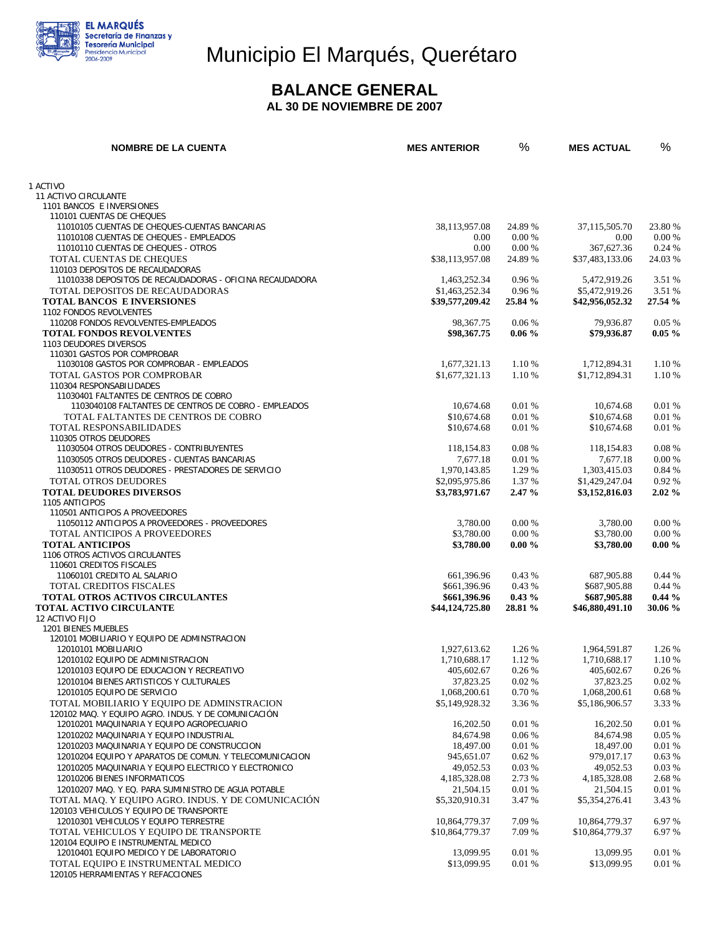

# Municipio El Marqués, Querétaro

#### **BALANCE GENERAL AL 30 DE NOVIEMBRE DE 2007**

| <b>NOMBRE DE LA CUENTA</b>                                                           | <b>MES ANTERIOR</b>     | %              | <b>MES ACTUAL</b>       | %              |
|--------------------------------------------------------------------------------------|-------------------------|----------------|-------------------------|----------------|
|                                                                                      |                         |                |                         |                |
| 1 ACTIVO                                                                             |                         |                |                         |                |
| 11 ACTIVO CIRCULANTE<br>1101 BANCOS E INVERSIONES                                    |                         |                |                         |                |
| 110101 CUENTAS DE CHEQUES                                                            |                         |                |                         |                |
| 11010105 CUENTAS DE CHEQUES-CUENTAS BANCARIAS                                        | 38,113,957.08           | 24.89 %        | 37,115,505.70           | 23.80 %        |
| 11010108 CUENTAS DE CHEQUES - EMPLEADOS                                              | 0.00                    | 0.00%          | 0.00                    | 0.00%          |
| 11010110 CUENTAS DE CHEQUES - OTROS                                                  | 0.00                    | 0.00%          | 367,627.36              | 0.24%          |
| TOTAL CUENTAS DE CHEQUES                                                             | \$38,113,957.08         | 24.89 %        | \$37,483,133.06         | 24.03 %        |
| 110103 DEPOSITOS DE RECAUDADORAS                                                     |                         |                |                         |                |
| 11010338 DEPOSITOS DE RECAUDADORAS - OFICINA RECAUDADORA                             | 1,463,252.34            | 0.96 %         | 5,472,919.26            | 3.51 %         |
| TOTAL DEPOSITOS DE RECAUDADORAS                                                      | \$1,463,252.34          | 0.96 %         | \$5,472,919.26          | 3.51 %         |
| <b>TOTAL BANCOS E INVERSIONES</b>                                                    | \$39,577,209.42         | 25.84 %        | \$42,956,052.32         | 27.54 %        |
| 1102 FONDOS REVOLVENTES                                                              |                         |                |                         |                |
| 110208 FONDOS REVOLVENTES-EMPLEADOS                                                  | 98, 367. 75             | 0.06%          | 79,936.87               | 0.05%          |
| <b>TOTAL FONDOS REVOLVENTES</b><br>1103 DEUDORES DIVERSOS                            | \$98,367.75             | $0.06\%$       | \$79,936.87             | $0.05 \%$      |
| 110301 GASTOS POR COMPROBAR                                                          |                         |                |                         |                |
| 11030108 GASTOS POR COMPROBAR - EMPLEADOS                                            | 1,677,321.13            | 1.10 %         | 1,712,894.31            | 1.10 %         |
| TOTAL GASTOS POR COMPROBAR                                                           | \$1,677,321.13          | 1.10 %         | \$1,712,894.31          | 1.10 %         |
| 110304 RESPONSABILIDADES                                                             |                         |                |                         |                |
| 11030401 FALTANTES DE CENTROS DE COBRO                                               |                         |                |                         |                |
| 1103040108 FALTANTES DE CENTROS DE COBRO - EMPLEADOS                                 | 10.674.68               | 0.01%          | 10,674.68               | 0.01%          |
| TOTAL FALTANTES DE CENTROS DE COBRO                                                  | \$10,674.68             | 0.01 %         | \$10,674.68             | 0.01 %         |
| TOTAL RESPONSABILIDADES                                                              | \$10,674.68             | 0.01%          | \$10,674.68             | 0.01%          |
| 110305 OTROS DEUDORES                                                                |                         |                |                         |                |
| 11030504 OTROS DEUDORES - CONTRIBUYENTES                                             | 118,154.83              | 0.08%          | 118,154.83              | 0.08 %         |
| 11030505 OTROS DEUDORES - CUENTAS BANCARIAS                                          | 7,677.18                | 0.01%          | 7,677.18                | 0.00 %         |
| 11030511 OTROS DEUDORES - PRESTADORES DE SERVICIO                                    | 1,970,143.85            | 1.29 %         | 1,303,415.03            | 0.84 %         |
| <b>TOTAL OTROS DEUDORES</b>                                                          | \$2,095,975.86          | 1.37 %         | \$1,429,247.04          | 0.92%          |
| <b>TOTAL DEUDORES DIVERSOS</b><br>1105 ANTICIPOS                                     | \$3,783,971.67          | 2.47%          | \$3,152,816.03          | 2.02%          |
| 110501 ANTICIPOS A PROVEEDORES                                                       |                         |                |                         |                |
| 11050112 ANTICIPOS A PROVEEDORES - PROVEEDORES                                       | 3,780.00                | 0.00 %         | 3,780.00                | 0.00 %         |
| TOTAL ANTICIPOS A PROVEEDORES                                                        | \$3,780.00              | 0.00%          | \$3,780.00              | 0.00 %         |
| <b>TOTAL ANTICIPOS</b>                                                               | \$3,780.00              | $0.00 \%$      | \$3,780.00              | $0.00 \%$      |
| 1106 OTROS ACTIVOS CIRCULANTES                                                       |                         |                |                         |                |
| 110601 CREDITOS FISCALES                                                             |                         |                |                         |                |
| 11060101 CREDITO AL SALARIO                                                          | 661,396.96              | 0.43%          | 687,905.88              | 0.44%          |
| <b>TOTAL CREDITOS FISCALES</b>                                                       | \$661,396.96            | 0.43%          | \$687,905.88            | 0.44%          |
| <b>TOTAL OTROS ACTIVOS CIRCULANTES</b>                                               | \$661,396.96            | $0.43\%$       | \$687,905.88            | $0.44\%$       |
| <b>TOTAL ACTIVO CIRCULANTE</b><br>12 ACTIVO FIJO                                     | \$44,124,725.80         | 28.81 %        | \$46,880,491.10         | 30.06 %        |
| 1201 BIENES MUEBLES                                                                  |                         |                |                         |                |
| 120101 MOBILIARIO Y EQUIPO DE ADMINSTRACION                                          |                         |                |                         |                |
| 12010101 MOBILIARIO                                                                  | 1,927,613.62            | 1.26 %         | 1,964,591.87            | 1.26 %         |
| 12010102 EQUIPO DE ADMINISTRACION                                                    | 1.710.688.17            | 1.12 %         | 1,710,688.17            | 1.10 %         |
| 12010103 EQUIPO DE EDUCACION Y RECREATIVO                                            | 405,602.67              | $0.26~\%$      | 405,602.67              | $0.26~\%$      |
| 12010104 BIENES ARTISTICOS Y CULTURALES                                              | 37,823.25               | 0.02%          | 37,823.25               | 0.02%          |
| 12010105 EQUIPO DE SERVICIO                                                          | 1,068,200.61            | 0.70%          | 1,068,200.61            | 0.68%          |
| TOTAL MOBILIARIO Y EQUIPO DE ADMINSTRACION                                           | \$5,149,928.32          | 3.36 %         | \$5,186,906.57          | 3.33 %         |
| 120102 MAQ. Y EQUIPO AGRO. INDUS. Y DE COMUNICACIÓN                                  |                         |                |                         |                |
| 12010201 MAQUINARIA Y EQUIPO AGROPECUARIO                                            | 16,202.50               | 0.01%          | 16,202.50               | 0.01%          |
| 12010202 MAQUINARIA Y EQUIPO INDUSTRIAL                                              | 84,674.98               | 0.06%          | 84,674.98               | 0.05%          |
| 12010203 MAQUINARIA Y EQUIPO DE CONSTRUCCION                                         | 18,497.00               | 0.01%          | 18,497.00               | 0.01%          |
| 12010204 EQUIPO Y APARATOS DE COMUN. Y TELECOMUNICACION                              | 945,651.07<br>49,052.53 | 0.62%<br>0.03% | 979,017.17<br>49,052.53 | 0.63%<br>0.03% |
| 12010205 MAQUINARIA Y EQUIPO ELECTRICO Y ELECTRONICO<br>12010206 BIENES INFORMATICOS | 4,185,328.08            | 2.73 %         | 4,185,328.08            | 2.68 %         |
| 12010207 MAQ. Y EQ. PARA SUMINISTRO DE AGUA POTABLE                                  | 21,504.15               | 0.01%          | 21,504.15               | 0.01%          |
| TOTAL MAQ. Y EQUIPO AGRO. INDUS. Y DE COMUNICACIÓN                                   | \$5,320,910.31          | 3.47 %         | \$5,354,276.41          | 3.43 %         |
| 120103 VEHICULOS Y EQUIPO DE TRANSPORTE                                              |                         |                |                         |                |
| 12010301 VEHICULOS Y EQUIPO TERRESTRE                                                | 10,864,779.37           | 7.09 %         | 10,864,779.37           | 6.97 %         |
| TOTAL VEHICULOS Y EQUIPO DE TRANSPORTE                                               | \$10,864,779.37         | 7.09 %         | \$10,864,779.37         | 6.97 %         |
| 120104 EQUIPO E INSTRUMENTAL MEDICO                                                  |                         |                |                         |                |
| 12010401 EQUIPO MEDICO Y DE LABORATORIO                                              | 13,099.95               | 0.01%          | 13,099.95               | 0.01%          |
| TOTAL EQUIPO E INSTRUMENTAL MEDICO                                                   | \$13,099.95             | 0.01%          | \$13,099.95             | 0.01%          |
| 120105 HERRAMIENTAS Y REFACCIONES                                                    |                         |                |                         |                |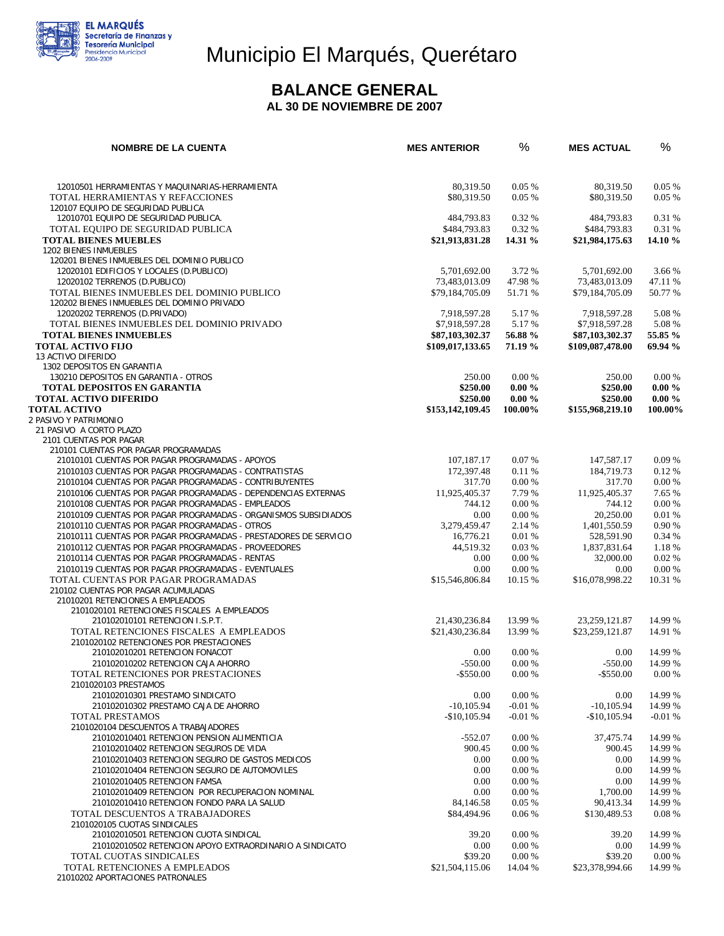

# Municipio El Marqués, Querétaro

## **BALANCE GENERAL**

 **AL 30 DE NOVIEMBRE DE 2007** 

| <b>NOMBRE DE LA CUENTA</b>                                                                                                | <b>MES ANTERIOR</b>           | %                    | <b>MES ACTUAL</b>             | %                    |
|---------------------------------------------------------------------------------------------------------------------------|-------------------------------|----------------------|-------------------------------|----------------------|
|                                                                                                                           |                               |                      |                               |                      |
| 12010501 HERRAMIENTAS Y MAQUINARIAS-HERRAMIENTA<br>TOTAL HERRAMIENTAS Y REFACCIONES<br>120107 EQUIPO DE SEGURIDAD PUBLICA | 80,319.50<br>\$80,319.50      | 0.05%<br>0.05%       | 80,319.50<br>\$80,319.50      | 0.05%<br>$0.05\%$    |
| 12010701 EQUIPO DE SEGURIDAD PUBLICA.                                                                                     | 484,793.83                    | 0.32 %               | 484,793.83                    | 0.31 %               |
| TOTAL EQUIPO DE SEGURIDAD PUBLICA                                                                                         | \$484,793.83                  | 0.32 %               | \$484,793.83                  | 0.31 %               |
| <b>TOTAL BIENES MUEBLES</b><br>1202 BIENES INMUEBLES                                                                      | \$21,913,831.28               | 14.31 %              | \$21,984,175.63               | 14.10 %              |
| 120201 BIENES INMUEBLES DEL DOMINIO PUBLICO                                                                               |                               |                      |                               |                      |
| 12020101 EDIFICIOS Y LOCALES (D.PUBLICO)                                                                                  | 5,701,692.00                  | 3.72 %               | 5,701,692.00                  | 3.66 %               |
| 12020102 TERRENOS (D.PUBLICO)                                                                                             | 73,483,013.09                 | 47.98%               | 73,483,013.09                 | 47.11 %              |
| TOTAL BIENES INMUEBLES DEL DOMINIO PUBLICO<br>120202 BIENES INMUEBLES DEL DOMINIO PRIVADO                                 | \$79,184,705.09               | 51.71 %              | \$79,184,705.09               | 50.77 %              |
| 12020202 TERRENOS (D.PRIVADO)                                                                                             | 7,918,597.28                  | 5.17 %               | 7,918,597.28                  | 5.08%                |
| TOTAL BIENES INMUEBLES DEL DOMINIO PRIVADO                                                                                | \$7,918,597.28                | 5.17 %               | \$7,918,597.28                | 5.08 %               |
| <b>TOTAL BIENES INMUEBLES</b>                                                                                             | \$87,103,302.37               | 56.88 %              | \$87,103,302.37               | 55.85 %              |
| <b>TOTAL ACTIVO FIJO</b><br><b>13 ACTIVO DIFERIDO</b>                                                                     | \$109,017,133.65              | 71.19 %              | \$109,087,478.00              | 69.94 %              |
| 1302 DEPOSITOS EN GARANTIA                                                                                                |                               |                      |                               |                      |
| 130210 DEPOSITOS EN GARANTIA - OTROS                                                                                      | 250.00                        | 0.00 %               | 250.00                        | 0.00 %               |
| <b>TOTAL DEPOSITOS EN GARANTIA</b>                                                                                        | \$250.00                      | $0.00 \%$            | \$250.00                      | $0.00 \%$            |
| <b>TOTAL ACTIVO DIFERIDO</b><br><b>TOTAL ACTIVO</b>                                                                       | \$250.00<br>\$153,142,109.45  | $0.00 \%$<br>100.00% | \$250.00<br>\$155,968,219.10  | $0.00 \%$<br>100.00% |
| 2 PASIVO Y PATRIMONIO                                                                                                     |                               |                      |                               |                      |
| 21 PASIVO A CORTO PLAZO                                                                                                   |                               |                      |                               |                      |
| 2101 CUENTAS POR PAGAR<br>210101 CUENTAS POR PAGAR PROGRAMADAS                                                            |                               |                      |                               |                      |
| 21010101 CUENTAS POR PAGAR PROGRAMADAS - APOYOS                                                                           | 107,187.17                    | 0.07%                | 147,587.17                    | 0.09%                |
| 21010103 CUENTAS POR PAGAR PROGRAMADAS - CONTRATISTAS                                                                     | 172,397.48                    | 0.11 %               | 184,719.73                    | 0.12%                |
| 21010104 CUENTAS POR PAGAR PROGRAMADAS - CONTRIBUYENTES                                                                   | 317.70                        | 0.00%                | 317.70                        | 0.00 %               |
| 21010106 CUENTAS POR PAGAR PROGRAMADAS - DEPENDENCIAS EXTERNAS                                                            | 11,925,405.37<br>744.12       | 7.79 %<br>0.00 %     | 11,925,405.37<br>744.12       | 7.65 %<br>0.00 %     |
| 21010108 CUENTAS POR PAGAR PROGRAMADAS - EMPLEADOS<br>21010109 CUENTAS POR PAGAR PROGRAMADAS - ORGANISMOS SUBSIDIADOS     | 0.00                          | 0.00 %               | 20,250.00                     | 0.01%                |
| 21010110 CUENTAS POR PAGAR PROGRAMADAS - OTROS                                                                            | 3,279,459.47                  | 2.14 %               | 1,401,550.59                  | 0.90 %               |
| 21010111 CUENTAS POR PAGAR PROGRAMADAS - PRESTADORES DE SERVICIO                                                          | 16,776.21                     | 0.01%                | 528,591.90                    | 0.34 %               |
| 21010112 CUENTAS POR PAGAR PROGRAMADAS - PROVEEDORES                                                                      | 44,519.32                     | 0.03%                | 1,837,831.64                  | 1.18 %               |
| 21010114 CUENTAS POR PAGAR PROGRAMADAS - RENTAS<br>21010119 CUENTAS POR PAGAR PROGRAMADAS - EVENTUALES                    | 0.00<br>0.00                  | 0.00 %<br>0.00 %     | 32,000.00<br>0.00             | 0.02%<br>0.00 %      |
| TOTAL CUENTAS POR PAGAR PROGRAMADAS                                                                                       | \$15,546,806.84               | 10.15 %              | \$16,078,998.22               | 10.31 %              |
| 210102 CUENTAS POR PAGAR ACUMULADAS                                                                                       |                               |                      |                               |                      |
| 21010201 RETENCIONES A EMPLEADOS                                                                                          |                               |                      |                               |                      |
| 2101020101 RETENCIONES FISCALES A EMPLEADOS<br>210102010101 RETENCION I.S.P.T.                                            | 21,430,236.84                 | 13.99 %              | 23, 259, 121.87               | 14.99 %              |
| TOTAL RETENCIONES FISCALES A EMPLEADOS                                                                                    | \$21,430,236.84               | 13.99 %              | \$23,259,121.87               | 14.91 %              |
| 2101020102 RETENCIONES POR PRESTACIONES                                                                                   |                               |                      |                               |                      |
| 210102010201 RETENCION FONACOT<br>210102010202 RETENCION CAJA AHORRO                                                      | 0.00<br>$-550.00$             | 0.00%<br>0.00%       | 0.00<br>$-550.00$             | 14.99 %<br>14.99 %   |
| TOTAL RETENCIONES POR PRESTACIONES                                                                                        | $-$ \$550.00                  | 0.00 %               | $-$ \$550.00                  | 0.00 %               |
| 2101020103 PRESTAMOS                                                                                                      |                               |                      |                               |                      |
| 210102010301 PRESTAMO SINDICATO                                                                                           | 0.00                          | 0.00 %               | 0.00                          | 14.99 %              |
| 210102010302 PRESTAMO CAJA DE AHORRO<br>TOTAL PRESTAMOS                                                                   | $-10.105.94$<br>$-$10,105.94$ | $-0.01%$<br>$-0.01%$ | $-10.105.94$<br>$-$10,105.94$ | 14.99 %<br>$-0.01%$  |
| 2101020104 DESCUENTOS A TRABAJADORES                                                                                      |                               |                      |                               |                      |
| 210102010401 RETENCION PENSION ALIMENTICIA                                                                                | $-552.07$                     | 0.00 %               | 37,475.74                     | 14.99 %              |
| 210102010402 RETENCION SEGUROS DE VIDA                                                                                    | 900.45                        | 0.00 %               | 900.45                        | 14.99 %              |
| 210102010403 RETENCION SEGURO DE GASTOS MEDICOS<br>210102010404 RETENCION SEGURO DE AUTOMOVILES                           | 0.00<br>0.00                  | 0.00 %<br>0.00 %     | 0.00<br>0.00                  | 14.99 %<br>14.99 %   |
| 210102010405 RETENCION FAMSA                                                                                              | 0.00                          | 0.00 %               | 0.00                          | 14.99 %              |
| 210102010409 RETENCION POR RECUPERACION NOMINAL                                                                           | 0.00                          | 0.00 %               | 1,700.00                      | 14.99 %              |
| 210102010410 RETENCION FONDO PARA LA SALUD                                                                                | 84,146.58                     | 0.05%                | 90,413.34                     | 14.99 %              |
| TOTAL DESCUENTOS A TRABAJADORES<br>2101020105 CUOTAS SINDICALES                                                           | \$84,494.96                   | 0.06%                | \$130,489.53                  | 0.08%                |
| 210102010501 RETENCION CUOTA SINDICAL                                                                                     | 39.20                         | 0.00 %               | 39.20                         | 14.99 %              |
| 210102010502 RETENCION APOYO EXTRAORDINARIO A SINDICATO                                                                   | 0.00                          | 0.00 %               | 0.00                          | 14.99 %              |
| TOTAL CUOTAS SINDICALES                                                                                                   | \$39.20                       | 0.00 %               | \$39.20                       | 0.00 %               |
| TOTAL RETENCIONES A EMPLEADOS<br>21010202 APORTACIONES PATRONALES                                                         | \$21,504,115.06               | 14.04 %              | \$23,378,994.66               | 14.99 %              |
|                                                                                                                           |                               |                      |                               |                      |